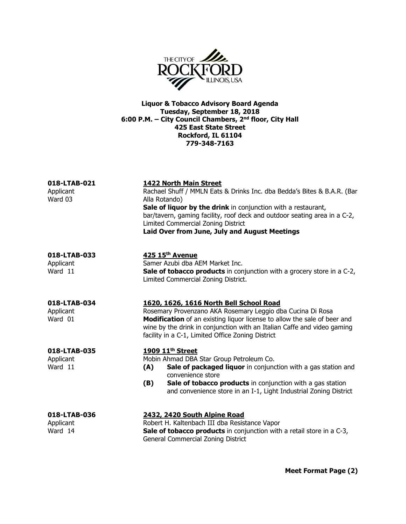

Liquor & Tobacco Advisory Board Agenda Tuesday, September 18, 2018 6:00 P.M. – City Council Chambers, 2<sup>nd</sup> floor, City Hall 425 East State Street Rockford, IL 61104 779-348-7163

| 018-LTAB-021<br>Applicant<br>Ward 03 | <b>1422 North Main Street</b><br>Rachael Shuff / MMLN Eats & Drinks Inc. dba Bedda's Bites & B.A.R. (Bar<br>Alla Rotando)<br>Sale of liquor by the drink in conjunction with a restaurant,<br>bar/tavern, gaming facility, roof deck and outdoor seating area in a C-2,<br>Limited Commercial Zoning District<br>Laid Over from June, July and August Meetings |
|--------------------------------------|----------------------------------------------------------------------------------------------------------------------------------------------------------------------------------------------------------------------------------------------------------------------------------------------------------------------------------------------------------------|
| 018-LTAB-033<br>Applicant<br>Ward 11 | 425 15th Avenue<br>Samer Azubi dba AEM Market Inc.<br><b>Sale of tobacco products</b> in conjunction with a grocery store in a C-2,<br>Limited Commercial Zoning District.                                                                                                                                                                                     |
| 018-LTAB-034<br>Applicant<br>Ward 01 | 1620, 1626, 1616 North Bell School Road<br>Rosemary Provenzano AKA Rosemary Leggio dba Cucina Di Rosa<br>Modification of an existing liquor license to allow the sale of beer and<br>wine by the drink in conjunction with an Italian Caffe and video gaming<br>facility in a C-1, Limited Office Zoning District                                              |
| 018-LTAB-035<br>Applicant<br>Ward 11 | 1909 11 <sup>th</sup> Street<br>Mobin Ahmad DBA Star Group Petroleum Co.<br>Sale of packaged liquor in conjunction with a gas station and<br>(A)<br>convenience store<br>(B)<br>Sale of tobacco products in conjunction with a gas station<br>and convenience store in an I-1, Light Industrial Zoning District                                                |
| 018-LTAB-036<br>Applicant<br>Ward 14 | 2432, 2420 South Alpine Road<br>Robert H. Kaltenbach III dba Resistance Vapor<br>Sale of tobacco products in conjunction with a retail store in a C-3,<br>General Commercial Zoning District                                                                                                                                                                   |